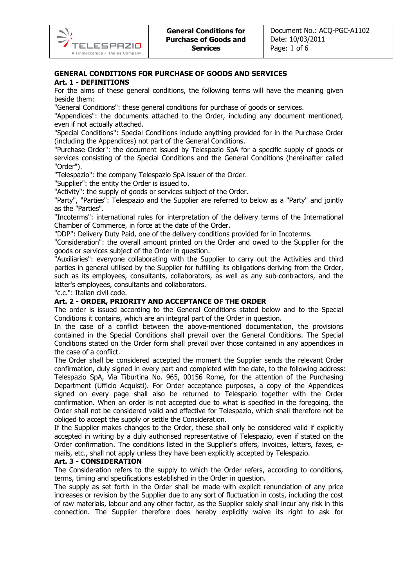# GENERAL CONDITIONS FOR PURCHASE OF GOODS AND SERVICES

# Art. 1 - DEFINITIONS

For the aims of these general conditions, the following terms will have the meaning given beside them:

"General Conditions": these general conditions for purchase of goods or services.

"Appendices": the documents attached to the Order, including any document mentioned, even if not actually attached.

"Special Conditions": Special Conditions include anything provided for in the Purchase Order (including the Appendices) not part of the General Conditions.

"Purchase Order": the document issued by Telespazio SpA for a specific supply of goods or services consisting of the Special Conditions and the General Conditions (hereinafter called "Order").

"Telespazio": the company Telespazio SpA issuer of the Order.

"Supplier": the entity the Order is issued to.

"Activity": the supply of goods or services subject of the Order.

"Party", "Parties": Telespazio and the Supplier are referred to below as a "Party" and jointly as the "Parties".

"Incoterms": international rules for interpretation of the delivery terms of the International Chamber of Commerce, in force at the date of the Order.

"DDP": Delivery Duty Paid, one of the delivery conditions provided for in Incoterms.

"Consideration": the overall amount printed on the Order and owed to the Supplier for the goods or services subject of the Order in question.

"Auxiliaries": everyone collaborating with the Supplier to carry out the Activities and third parties in general utilised by the Supplier for fulfilling its obligations deriving from the Order, such as its employees, consultants, collaborators, as well as any sub-contractors, and the latter's employees, consultants and collaborators.

"c.c.": Italian civil code.

# Art. 2 - ORDER, PRIORITY AND ACCEPTANCE OF THE ORDER

The order is issued according to the General Conditions stated below and to the Special Conditions it contains, which are an integral part of the Order in question.

In the case of a conflict between the above-mentioned documentation, the provisions contained in the Special Conditions shall prevail over the General Conditions. The Special Conditions stated on the Order form shall prevail over those contained in any appendices in the case of a conflict.

The Order shall be considered accepted the moment the Supplier sends the relevant Order confirmation, duly signed in every part and completed with the date, to the following address: Telespazio SpA, Via Tiburtina No. 965, 00156 Rome, for the attention of the Purchasing Department (Ufficio Acquisti). For Order acceptance purposes, a copy of the Appendices signed on every page shall also be returned to Telespazio together with the Order confirmation. When an order is not accepted due to what is specified in the foregoing, the Order shall not be considered valid and effective for Telespazio, which shall therefore not be obliged to accept the supply or settle the Consideration.

If the Supplier makes changes to the Order, these shall only be considered valid if explicitly accepted in writing by a duly authorised representative of Telespazio, even if stated on the Order confirmation. The conditions listed in the Supplier's offers, invoices, letters, faxes, emails, etc., shall not apply unless they have been explicitly accepted by Telespazio.

#### Art. 3 - CONSIDERATION

The Consideration refers to the supply to which the Order refers, according to conditions, terms, timing and specifications established in the Order in question.

The supply as set forth in the Order shall be made with explicit renunciation of any price increases or revision by the Supplier due to any sort of fluctuation in costs, including the cost of raw materials, labour and any other factor, as the Supplier solely shall incur any risk in this connection. The Supplier therefore does hereby explicitly waive its right to ask for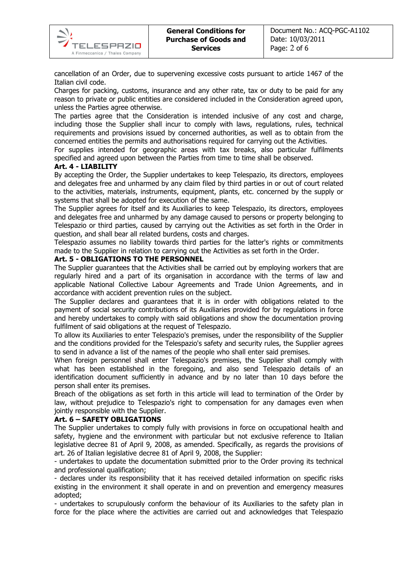cancellation of an Order, due to supervening excessive costs pursuant to article 1467 of the Italian civil code.

Charges for packing, customs, insurance and any other rate, tax or duty to be paid for any reason to private or public entities are considered included in the Consideration agreed upon, unless the Parties agree otherwise.

The parties agree that the Consideration is intended inclusive of any cost and charge, including those the Supplier shall incur to comply with laws, regulations, rules, technical requirements and provisions issued by concerned authorities, as well as to obtain from the concerned entities the permits and authorisations required for carrying out the Activities.

For supplies intended for geographic areas with tax breaks, also particular fulfilments specified and agreed upon between the Parties from time to time shall be observed.

#### Art. 4 - LIABILITY

**TELESPAZIO** A Finmeccanica / Thales Company

By accepting the Order, the Supplier undertakes to keep Telespazio, its directors, employees and delegates free and unharmed by any claim filed by third parties in or out of court related to the activities, materials, instruments, equipment, plants, etc. concerned by the supply or systems that shall be adopted for execution of the same.

The Supplier agrees for itself and its Auxiliaries to keep Telespazio, its directors, employees and delegates free and unharmed by any damage caused to persons or property belonging to Telespazio or third parties, caused by carrying out the Activities as set forth in the Order in question, and shall bear all related burdens, costs and charges.

Telespazio assumes no liability towards third parties for the latter's rights or commitments made to the Supplier in relation to carrying out the Activities as set forth in the Order.

#### Art. 5 - OBLIGATIONS TO THE PERSONNEL

The Supplier guarantees that the Activities shall be carried out by employing workers that are regularly hired and a part of its organisation in accordance with the terms of law and applicable National Collective Labour Agreements and Trade Union Agreements, and in accordance with accident prevention rules on the subject.

The Supplier declares and guarantees that it is in order with obligations related to the payment of social security contributions of its Auxiliaries provided for by regulations in force and hereby undertakes to comply with said obligations and show the documentation proving fulfilment of said obligations at the request of Telespazio.

To allow its Auxiliaries to enter Telespazio's premises, under the responsibility of the Supplier and the conditions provided for the Telespazio's safety and security rules, the Supplier agrees to send in advance a list of the names of the people who shall enter said premises.

When foreign personnel shall enter Telespazio's premises, the Supplier shall comply with what has been established in the foregoing, and also send Telespazio details of an identification document sufficiently in advance and by no later than 10 days before the person shall enter its premises.

Breach of the obligations as set forth in this article will lead to termination of the Order by law, without prejudice to Telespazio's right to compensation for any damages even when jointly responsible with the Supplier.

#### Art. 6 – SAFETY OBLIGATIONS

The Supplier undertakes to comply fully with provisions in force on occupational health and safety, hygiene and the environment with particular but not exclusive reference to Italian legislative decree 81 of April 9, 2008, as amended. Specifically, as regards the provisions of art. 26 of Italian legislative decree 81 of April 9, 2008, the Supplier:

- undertakes to update the documentation submitted prior to the Order proving its technical and professional qualification;

- declares under its responsibility that it has received detailed information on specific risks existing in the environment it shall operate in and on prevention and emergency measures adopted;

- undertakes to scrupulously conform the behaviour of its Auxiliaries to the safety plan in force for the place where the activities are carried out and acknowledges that Telespazio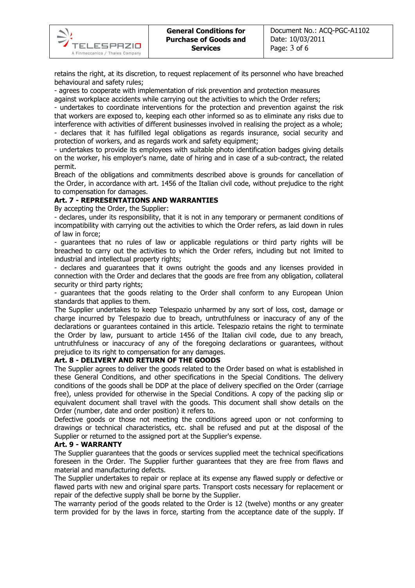retains the right, at its discretion, to request replacement of its personnel who have breached behavioural and safety rules;

- agrees to cooperate with implementation of risk prevention and protection measures

against workplace accidents while carrying out the activities to which the Order refers;

- undertakes to coordinate interventions for the protection and prevention against the risk that workers are exposed to, keeping each other informed so as to eliminate any risks due to interference with activities of different businesses involved in realising the project as a whole; - declares that it has fulfilled legal obligations as regards insurance, social security and protection of workers, and as regards work and safety equipment;

- undertakes to provide its employees with suitable photo identification badges giving details on the worker, his employer's name, date of hiring and in case of a sub-contract, the related permit.

Breach of the obligations and commitments described above is grounds for cancellation of the Order, in accordance with art. 1456 of the Italian civil code, without prejudice to the right to compensation for damages.

#### Art. 7 - REPRESENTATIONS AND WARRANTIES

By accepting the Order, the Supplier:

**TELESPAZIO** A Finmeccanica / Thales Company

- declares, under its responsibility, that it is not in any temporary or permanent conditions of incompatibility with carrying out the activities to which the Order refers, as laid down in rules of law in force;

- guarantees that no rules of law or applicable regulations or third party rights will be breached to carry out the activities to which the Order refers, including but not limited to industrial and intellectual property rights;

- declares and guarantees that it owns outright the goods and any licenses provided in connection with the Order and declares that the goods are free from any obligation, collateral security or third party rights;

- guarantees that the goods relating to the Order shall conform to any European Union standards that applies to them.

The Supplier undertakes to keep Telespazio unharmed by any sort of loss, cost, damage or charge incurred by Telespazio due to breach, untruthfulness or inaccuracy of any of the declarations or guarantees contained in this article. Telespazio retains the right to terminate the Order by law, pursuant to article 1456 of the Italian civil code, due to any breach, untruthfulness or inaccuracy of any of the foregoing declarations or guarantees, without prejudice to its right to compensation for any damages.

#### Art. 8 - DELIVERY AND RETURN OF THE GOODS

The Supplier agrees to deliver the goods related to the Order based on what is established in these General Conditions, and other specifications in the Special Conditions. The delivery conditions of the goods shall be DDP at the place of delivery specified on the Order (carriage free), unless provided for otherwise in the Special Conditions. A copy of the packing slip or equivalent document shall travel with the goods. This document shall show details on the Order (number, date and order position) it refers to.

Defective goods or those not meeting the conditions agreed upon or not conforming to drawings or technical characteristics, etc. shall be refused and put at the disposal of the Supplier or returned to the assigned port at the Supplier's expense.

#### Art. 9 - WARRANTY

The Supplier guarantees that the goods or services supplied meet the technical specifications foreseen in the Order. The Supplier further guarantees that they are free from flaws and material and manufacturing defects.

The Supplier undertakes to repair or replace at its expense any flawed supply or defective or flawed parts with new and original spare parts. Transport costs necessary for replacement or repair of the defective supply shall be borne by the Supplier.

The warranty period of the goods related to the Order is 12 (twelve) months or any greater term provided for by the laws in force, starting from the acceptance date of the supply. If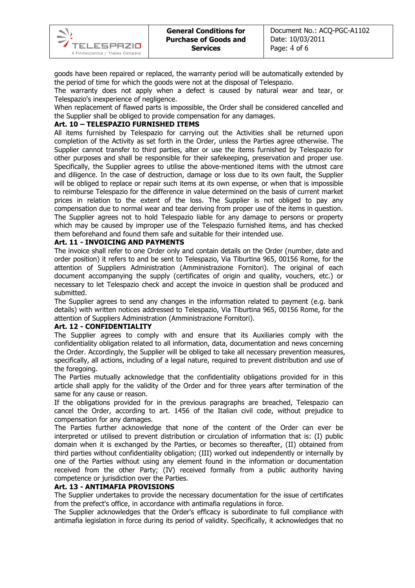goods have been repaired or replaced, the warranty period will be automatically extended by the period of time for which the goods were not at the disposal of Telespazio.

The warranty does not apply when a defect is caused by natural wear and tear, or Telespazio's inexperience of negligence.

When replacement of flawed parts is impossible, the Order shall be considered cancelled and the Supplier shall be obliged to provide compensation for any damages.

# Art. 10 – TELESPAZIO FURNISHED ITEMS

All items furnished by Telespazio for carrying out the Activities shall be returned upon completion of the Activity as set forth in the Order, unless the Parties agree otherwise. The Supplier cannot transfer to third parties, alter or use the items furnished by Telespazio for other purposes and shall be responsible for their safekeeping, preservation and proper use. Specifically, the Supplier agrees to utilise the above-mentioned items with the utmost care and diligence. In the case of destruction, damage or loss due to its own fault, the Supplier will be obliged to replace or repair such items at its own expense, or when that is impossible to reimburse Telespazio for the difference in value determined on the basis of current market prices in relation to the extent of the loss. The Supplier is not obliged to pay any compensation due to normal wear and tear deriving from proper use of the items in question. The Supplier agrees not to hold Telespazio liable for any damage to persons or property which may be caused by improper use of the Telespazio furnished items, and has checked them beforehand and found them safe and suitable for their intended use.

#### Art. 11 - INVOICING AND PAYMENTS

The invoice shall refer to one Order only and contain details on the Order (number, date and order position) it refers to and be sent to Telespazio, Via Tiburtina 965, 00156 Rome, for the attention of Suppliers Administration (Amministrazione Fornitori). The original of each document accompanying the supply (certificates of origin and quality, vouchers, etc.) or necessary to let Telespazio check and accept the invoice in question shall be produced and submitted.

The Supplier agrees to send any changes in the information related to payment (e.g. bank details) with written notices addressed to Telespazio, Via Tiburtina 965, 00156 Rome, for the attention of Suppliers Administration (Amministrazione Fornitori).

#### Art. 12 - CONFIDENTIALITY

The Supplier agrees to comply with and ensure that its Auxiliaries comply with the confidentiality obligation related to all information, data, documentation and news concerning the Order. Accordingly, the Supplier will be obliged to take all necessary prevention measures, specifically, all actions, including of a legal nature, required to prevent distribution and use of the foregoing.

The Parties mutually acknowledge that the confidentiality obligations provided for in this article shall apply for the validity of the Order and for three years after termination of the same for any cause or reason.

If the obligations provided for in the previous paragraphs are breached, Telespazio can cancel the Order, according to art. 1456 of the Italian civil code, without prejudice to compensation for any damages.

The Parties further acknowledge that none of the content of the Order can ever be interpreted or utilised to prevent distribution or circulation of information that is: (I) public domain when it is exchanged by the Parties, or becomes so thereafter, (II) obtained from third parties without confidentiality obligation; (III) worked out independently or internally by one of the Parties without using any element found in the information or documentation received from the other Party; (IV) received formally from a public authority having competence or jurisdiction over the Parties.

#### Art. 13 - ANTIMAFIA PROVISIONS

The Supplier undertakes to provide the necessary documentation for the issue of certificates from the prefect's office, in accordance with antimafia regulations in force.

The Supplier acknowledges that the Order's efficacy is subordinate to full compliance with antimafia legislation in force during its period of validity. Specifically, it acknowledges that no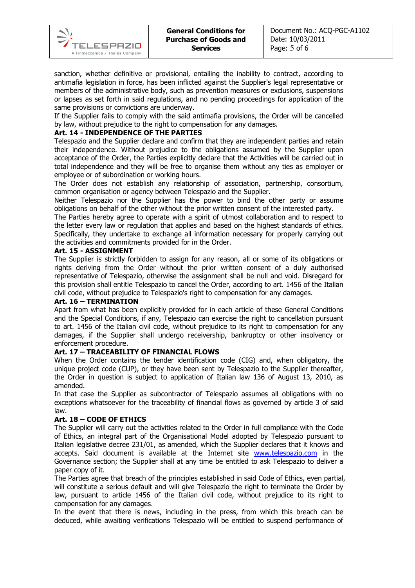

sanction, whether definitive or provisional, entailing the inability to contract, according to antimafia legislation in force, has been inflicted against the Supplier's legal representative or members of the administrative body, such as prevention measures or exclusions, suspensions or lapses as set forth in said regulations, and no pending proceedings for application of the same provisions or convictions are underway.

If the Supplier fails to comply with the said antimafia provisions, the Order will be cancelled by law, without prejudice to the right to compensation for any damages.

## Art. 14 - INDEPENDENCE OF THE PARTIES

Telespazio and the Supplier declare and confirm that they are independent parties and retain their independence. Without prejudice to the obligations assumed by the Supplier upon acceptance of the Order, the Parties explicitly declare that the Activities will be carried out in total independence and they will be free to organise them without any ties as employer or employee or of subordination or working hours.

The Order does not establish any relationship of association, partnership, consortium, common organisation or agency between Telespazio and the Supplier.

Neither Telespazio nor the Supplier has the power to bind the other party or assume obligations on behalf of the other without the prior written consent of the interested party.

The Parties hereby agree to operate with a spirit of utmost collaboration and to respect to the letter every law or regulation that applies and based on the highest standards of ethics. Specifically, they undertake to exchange all information necessary for properly carrying out the activities and commitments provided for in the Order.

#### Art. 15 - ASSIGNMENT

The Supplier is strictly forbidden to assign for any reason, all or some of its obligations or rights deriving from the Order without the prior written consent of a duly authorised representative of Telespazio, otherwise the assignment shall be null and void. Disregard for this provision shall entitle Telespazio to cancel the Order, according to art. 1456 of the Italian civil code, without prejudice to Telespazio's right to compensation for any damages.

#### Art. 16 – TERMINATION

Apart from what has been explicitly provided for in each article of these General Conditions and the Special Conditions, if any, Telespazio can exercise the right to cancellation pursuant to art. 1456 of the Italian civil code, without prejudice to its right to compensation for any damages, if the Supplier shall undergo receivership, bankruptcy or other insolvency or enforcement procedure.

#### Art. 17 – TRACEABILITY OF FINANCIAL FLOWS

When the Order contains the tender identification code (CIG) and, when obligatory, the unique project code (CUP), or they have been sent by Telespazio to the Supplier thereafter, the Order in question is subject to application of Italian law 136 of August 13, 2010, as amended.

In that case the Supplier as subcontractor of Telespazio assumes all obligations with no exceptions whatsoever for the traceability of financial flows as governed by article 3 of said law.

# Art. 18 – CODE OF ETHICS

The Supplier will carry out the activities related to the Order in full compliance with the Code of Ethics, an integral part of the Organisational Model adopted by Telespazio pursuant to Italian legislative decree 231/01, as amended, which the Supplier declares that it knows and accepts. Said document is available at the Internet site www.telespazio.com in the Governance section; the Supplier shall at any time be entitled to ask Telespazio to deliver a paper copy of it.

The Parties agree that breach of the principles established in said Code of Ethics, even partial, will constitute a serious default and will give Telespazio the right to terminate the Order by law, pursuant to article 1456 of the Italian civil code, without prejudice to its right to compensation for any damages.

In the event that there is news, including in the press, from which this breach can be deduced, while awaiting verifications Telespazio will be entitled to suspend performance of